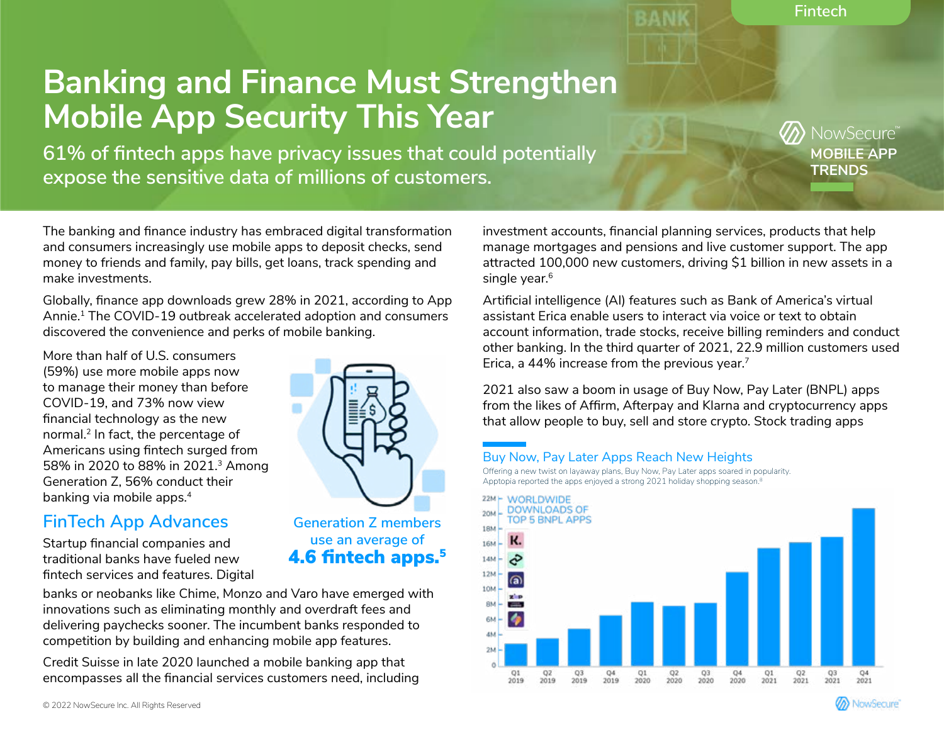**Fintech**

**MOBILE APP TRENDS**

**JowSecure** 

# **Banking and Finance Must Strengthen Mobile App Security This Year**

**61% of fintech apps have privacy issues that could potentially expose the sensitive data of millions of customers.**

> **Generation Z members use an average of**  4.6 fintech apps.<sup>5</sup>

The banking and finance industry has embraced digital transformation and consumers increasingly use mobile apps to deposit checks, send money to friends and family, pay bills, get loans, track spending and make investments.

Globally, finance app downloads grew 28% in 2021, according to App Annie.<sup>1</sup> The COVID-19 outbreak accelerated adoption and consumers discovered the convenience and perks of mobile banking.

More than half of U.S. consumers (59%) use more mobile apps now to manage their money than before COVID-19, and 73% now view financial technology as the new normal.2 In fact, the percentage of Americans using fintech surged from 58% in 2020 to 88% in 2021.3 Among Generation Z, 56% conduct their banking via mobile apps.<sup>4</sup>

# **FinTech App Advances**

Startup financial companies and traditional banks have fueled new fintech services and features. Digital

banks or neobanks like Chime, Monzo and Varo have emerged with innovations such as eliminating monthly and overdraft fees and delivering paychecks sooner. The incumbent banks responded to competition by building and enhancing mobile app features.

Credit Suisse in late 2020 launched a mobile banking app that encompasses all the financial services customers need, including investment accounts, financial planning services, products that help manage mortgages and pensions and live customer support. The app attracted 100,000 new customers, driving \$1 billion in new assets in a single year.<sup>6</sup>

Artificial intelligence (AI) features such as Bank of America's virtual assistant Erica enable users to interact via voice or text to obtain account information, trade stocks, receive billing reminders and conduct other banking. In the third quarter of 2021, 22.9 million customers used Erica, a 44% increase from the previous year.7

2021 also saw a boom in usage of Buy Now, Pay Later (BNPL) apps from the likes of Affirm, Afterpay and Klarna and cryptocurrency apps that allow people to buy, sell and store crypto. Stock trading apps

## Buy Now, Pay Later Apps Reach New Heights

Offering a new twist on layaway plans, Buy Now, Pay Later apps soared in popularity. Apptopia reported the apps enjoyed a strong 2021 holiday shopping season.<sup>8</sup>